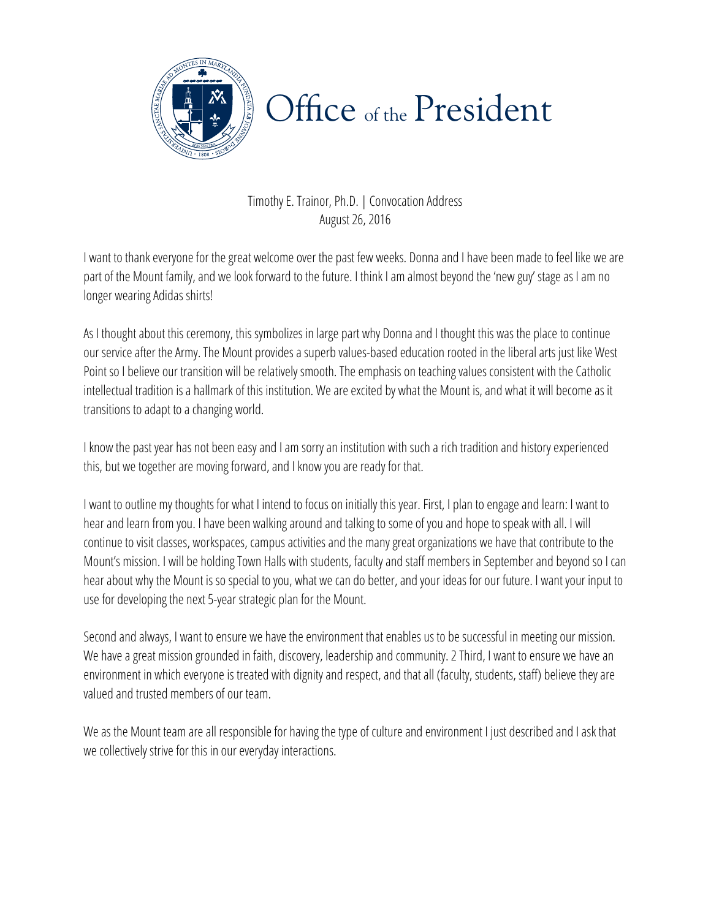

## Office of the President

TimothyE. Trainor, Ph.D. | Convocation Address August 26, 2016

I want to thank everyone for the great welcome over the past few weeks. Donna and I have been made to feel like we are part of the Mount family, and we look forward to the future. I think I am almost beyond the 'new guy' stage as I am no longer wearing Adidas shirts!

As I thought about this ceremony, this symbolizes in large part why Donna and I thought this was the place to continue our service after the Army. The Mount provides a superb values-based education rooted in the liberal arts just like West Point so I believe our transition will be relatively smooth. The emphasis on teaching values consistent with the Catholic intellectual tradition is a hallmark of this institution. We are excited by what the Mount is, and what it will become as it transitions to adapt to a changing world.

I know the past year has not been easy and I am sorry an institution with such a rich tradition and history experienced this, but we together are moving forward, and I know you are ready for that.

I want to outline my thoughts for what I intend to focus on initially this year. First, I plan to engage and learn: I want to hear and learn from you. I have been walking around and talking to some of you and hope to speak with all. I will continue to visit classes, workspaces, campus activities and the many great organizations we have that contribute to the Mount's mission. I will be holding Town Halls with students, faculty and staff members in September and beyond so I can hear about why the Mount is so special to you, what we can do better, and your ideas for our future. I want your input to use for developing the next 5-year strategic plan for the Mount.

Second and always, I want to ensure we have the environment that enables us to be successful in meeting our mission. We have a great mission grounded in faith, discovery, leadership and community. 2 Third, I want to ensure we have an environment in which everyone is treated with dignity and respect, and that all (faculty, students, staff) believe they are valued and trusted members of our team.

We as the Mount team are all responsible for having the type of culture and environment I just described and I ask that we collectively strive for this in our everyday interactions.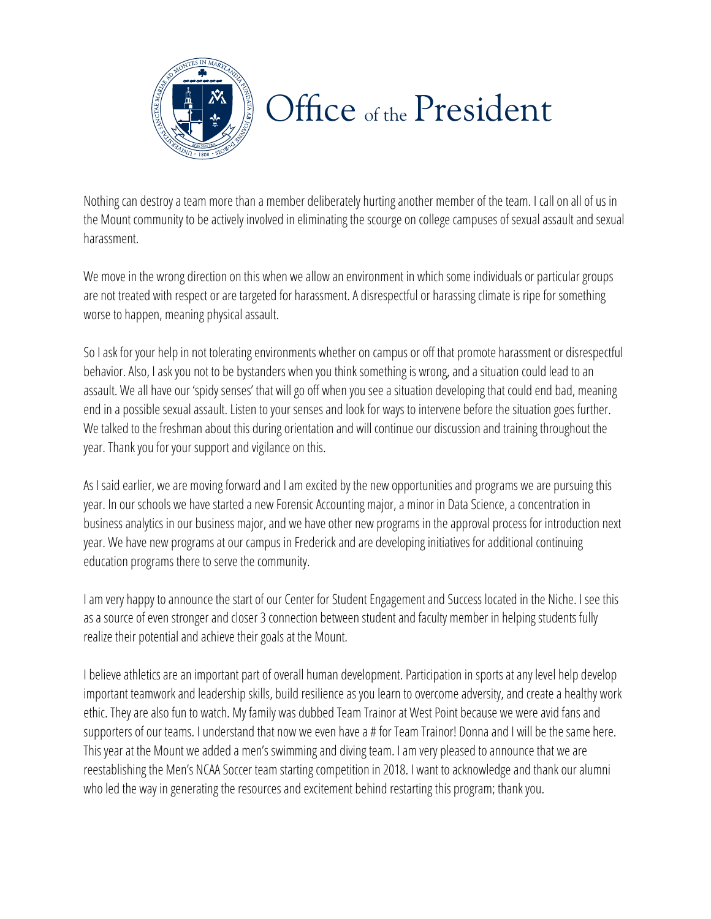

## Office of the President

Nothing can destroy a team more than a member deliberately hurting another member of the team. I call on all of us in the Mount community to be actively involved in eliminating the scourge on college campuses of sexual assault and sexual harassment.

We move in the wrong direction on this when we allow an environment in which some individuals or particular groups are not treated with respect or are targeted for harassment. A disrespectful or harassing climate is ripe for something worse to happen, meaning physical assault.

So I ask for your help in not tolerating environments whether on campus or off that promote harassment or disrespectful behavior. Also, I ask you not to be bystanders when you think something is wrong, and a situation could lead to an assault. We all have our 'spidy senses' that will go off when you see a situation developing that could end bad, meaning end in a possible sexual assault. Listen to your senses and look for ways to intervene before the situation goes further. We talked to the freshman about this during orientation and will continue our discussion and training throughout the year. Thank you for your support and vigilance on this.

As I said earlier, we are moving forward and I am excited by the new opportunities and programs we are pursuing this year. In our schools we have started a new Forensic Accounting major, a minor in Data Science, a concentration in business analytics in our business major, and we have other new programs in the approval process for introduction next year. We have new programs at our campus in Frederick and are developing initiatives for additional continuing education programs there to serve the community.

I am very happy to announce the start of our Center for Student Engagement and Success located in the Niche. I see this as a source of even stronger and closer 3 connection between student and faculty member in helping students fully realize their potential and achieve their goals at the Mount.

supporters of our teams. I understand that now we even have a # for Team Trainor! Donna and I will be the same here. reestablishing the Men's NCAA Soccer team starting competition in 2018. I want to acknowledge and thank our alumni I believe athletics are an important part of overall human development. Participation in sports at any level help develop important teamwork and leadership skills, build resilience as you learn to overcome adversity, and create a healthy work ethic. They are also fun to watch. My family was dubbed Team Trainor at West Point because we were avid fans and This year at the Mount we added a men's swimming and diving team. I am very pleased to announce that we are who led the way in generating the resources and excitement behind restarting this program; thank you.